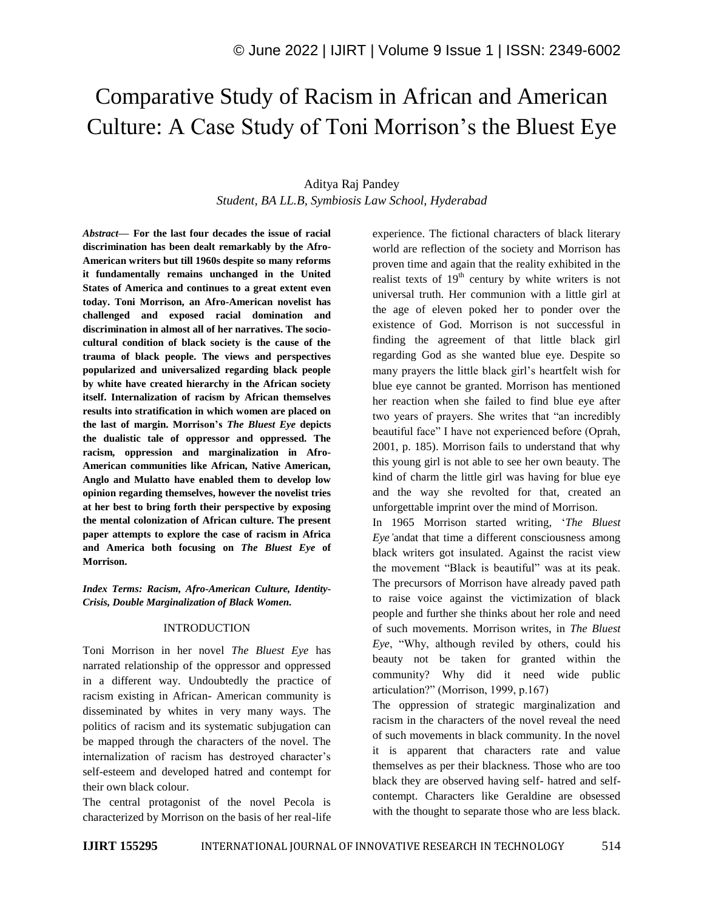# Comparative Study of Racism in African and American Culture: A Case Study of Toni Morrison"s the Bluest Eye

## Aditya Raj Pandey *Student, BA LL.B, Symbiosis Law School, Hyderabad*

*Abstract—* **For the last four decades the issue of racial discrimination has been dealt remarkably by the Afro-American writers but till 1960s despite so many reforms it fundamentally remains unchanged in the United States of America and continues to a great extent even today. Toni Morrison, an Afro-American novelist has challenged and exposed racial domination and discrimination in almost all of her narratives. The sociocultural condition of black society is the cause of the trauma of black people. The views and perspectives popularized and universalized regarding black people by white have created hierarchy in the African society itself. Internalization of racism by African themselves results into stratification in which women are placed on the last of margin. Morrison's** *The Bluest Eye* **depicts the dualistic tale of oppressor and oppressed. The racism, oppression and marginalization in Afro-American communities like African, Native American, Anglo and Mulatto have enabled them to develop low opinion regarding themselves, however the novelist tries at her best to bring forth their perspective by exposing the mental colonization of African culture. The present paper attempts to explore the case of racism in Africa and America both focusing on** *The Bluest Eye* **of Morrison.**

*Index Terms: Racism, Afro-American Culture, Identity-Crisis, Double Marginalization of Black Women.*

#### INTRODUCTION

Toni Morrison in her novel *The Bluest Eye* has narrated relationship of the oppressor and oppressed in a different way. Undoubtedly the practice of racism existing in African- American community is disseminated by whites in very many ways. The politics of racism and its systematic subjugation can be mapped through the characters of the novel. The internalization of racism has destroyed character's self-esteem and developed hatred and contempt for their own black colour.

The central protagonist of the novel Pecola is characterized by Morrison on the basis of her real-life

experience. The fictional characters of black literary world are reflection of the society and Morrison has proven time and again that the reality exhibited in the realist texts of  $19<sup>th</sup>$  century by white writers is not universal truth. Her communion with a little girl at the age of eleven poked her to ponder over the existence of God. Morrison is not successful in finding the agreement of that little black girl regarding God as she wanted blue eye. Despite so many prayers the little black girl"s heartfelt wish for blue eye cannot be granted. Morrison has mentioned her reaction when she failed to find blue eye after two years of prayers. She writes that "an incredibly beautiful face" I have not experienced before (Oprah, 2001, p. 185). Morrison fails to understand that why this young girl is not able to see her own beauty. The kind of charm the little girl was having for blue eye and the way she revolted for that, created an unforgettable imprint over the mind of Morrison.

In 1965 Morrison started writing, "*The Bluest Eye'*andat that time a different consciousness among black writers got insulated. Against the racist view the movement "Black is beautiful" was at its peak. The precursors of Morrison have already paved path to raise voice against the victimization of black people and further she thinks about her role and need of such movements. Morrison writes, in *The Bluest Eye*, "Why, although reviled by others, could his beauty not be taken for granted within the community? Why did it need wide public articulation?" (Morrison, 1999, p.167)

The oppression of strategic marginalization and racism in the characters of the novel reveal the need of such movements in black community. In the novel it is apparent that characters rate and value themselves as per their blackness. Those who are too black they are observed having self- hatred and selfcontempt. Characters like Geraldine are obsessed with the thought to separate those who are less black.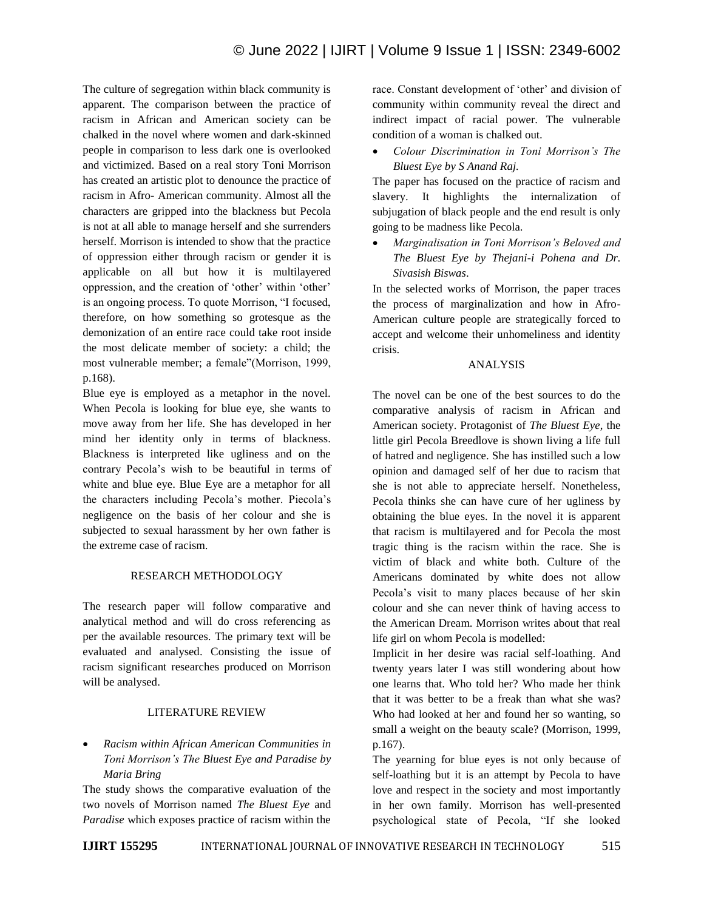The culture of segregation within black community is apparent. The comparison between the practice of racism in African and American society can be chalked in the novel where women and dark-skinned people in comparison to less dark one is overlooked and victimized. Based on a real story Toni Morrison has created an artistic plot to denounce the practice of racism in Afro- American community. Almost all the characters are gripped into the blackness but Pecola is not at all able to manage herself and she surrenders herself. Morrison is intended to show that the practice of oppression either through racism or gender it is applicable on all but how it is multilayered oppression, and the creation of 'other' within 'other' is an ongoing process. To quote Morrison, "I focused, therefore, on how something so grotesque as the demonization of an entire race could take root inside the most delicate member of society: a child; the most vulnerable member; a female"(Morrison, 1999, p.168).

Blue eye is employed as a metaphor in the novel. When Pecola is looking for blue eye, she wants to move away from her life. She has developed in her mind her identity only in terms of blackness. Blackness is interpreted like ugliness and on the contrary Pecola"s wish to be beautiful in terms of white and blue eye. Blue Eye are a metaphor for all the characters including Pecola"s mother. Piecola"s negligence on the basis of her colour and she is subjected to sexual harassment by her own father is the extreme case of racism.

## RESEARCH METHODOLOGY

The research paper will follow comparative and analytical method and will do cross referencing as per the available resources. The primary text will be evaluated and analysed. Consisting the issue of racism significant researches produced on Morrison will be analysed.

## LITERATURE REVIEW

 *Racism within African American Communities in Toni Morrison's The Bluest Eye and Paradise by Maria Bring*

The study shows the comparative evaluation of the two novels of Morrison named *The Bluest Eye* and *Paradise* which exposes practice of racism within the race. Constant development of 'other' and division of community within community reveal the direct and indirect impact of racial power. The vulnerable condition of a woman is chalked out.

 *Colour Discrimination in Toni Morrison's The Bluest Eye by S Anand Raj.*

The paper has focused on the practice of racism and slavery. It highlights the internalization of subjugation of black people and the end result is only going to be madness like Pecola.

 *Marginalisation in Toni Morrison's Beloved and The Bluest Eye by Thejani-i Pohena and Dr. Sivasish Biswas*.

In the selected works of Morrison, the paper traces the process of marginalization and how in Afro-American culture people are strategically forced to accept and welcome their unhomeliness and identity crisis.

#### ANALYSIS

The novel can be one of the best sources to do the comparative analysis of racism in African and American society. Protagonist of *The Bluest Eye*, the little girl Pecola Breedlove is shown living a life full of hatred and negligence. She has instilled such a low opinion and damaged self of her due to racism that she is not able to appreciate herself. Nonetheless, Pecola thinks she can have cure of her ugliness by obtaining the blue eyes. In the novel it is apparent that racism is multilayered and for Pecola the most tragic thing is the racism within the race. She is victim of black and white both. Culture of the Americans dominated by white does not allow Pecola's visit to many places because of her skin colour and she can never think of having access to the American Dream. Morrison writes about that real life girl on whom Pecola is modelled:

Implicit in her desire was racial self-loathing. And twenty years later I was still wondering about how one learns that. Who told her? Who made her think that it was better to be a freak than what she was? Who had looked at her and found her so wanting, so small a weight on the beauty scale? (Morrison, 1999, p.167).

The yearning for blue eyes is not only because of self-loathing but it is an attempt by Pecola to have love and respect in the society and most importantly in her own family. Morrison has well-presented psychological state of Pecola, "If she looked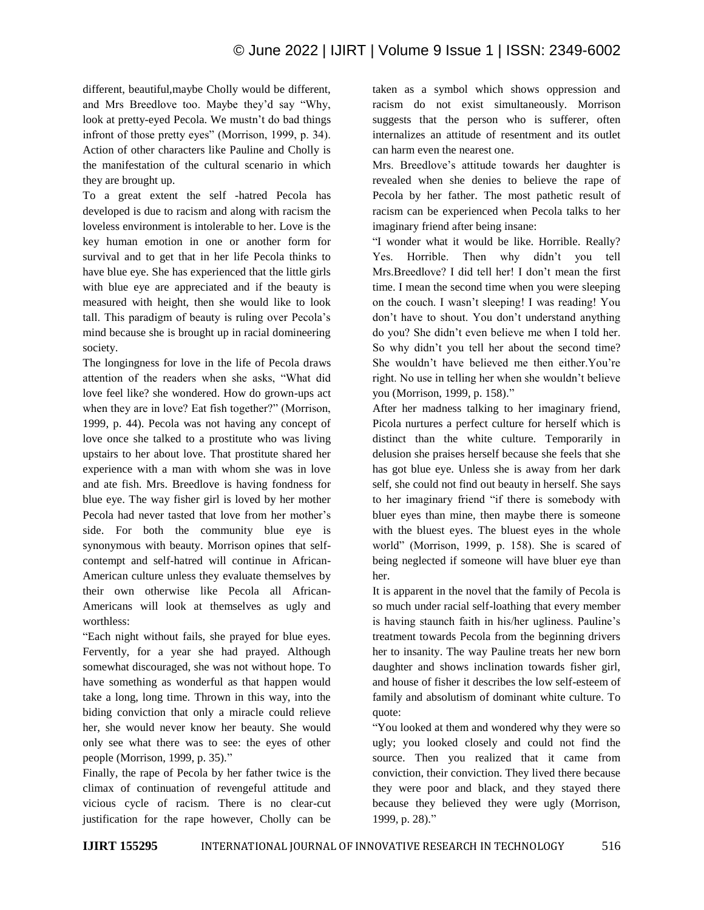different, beautiful,maybe Cholly would be different, and Mrs Breedlove too. Maybe they"d say "Why, look at pretty-eyed Pecola. We mustn't do bad things infront of those pretty eyes" (Morrison, 1999, p. 34). Action of other characters like Pauline and Cholly is the manifestation of the cultural scenario in which they are brought up.

To a great extent the self -hatred Pecola has developed is due to racism and along with racism the loveless environment is intolerable to her. Love is the key human emotion in one or another form for survival and to get that in her life Pecola thinks to have blue eye. She has experienced that the little girls with blue eye are appreciated and if the beauty is measured with height, then she would like to look tall. This paradigm of beauty is ruling over Pecola"s mind because she is brought up in racial domineering society.

The longingness for love in the life of Pecola draws attention of the readers when she asks, "What did love feel like? she wondered. How do grown-ups act when they are in love? Eat fish together?" (Morrison, 1999, p. 44). Pecola was not having any concept of love once she talked to a prostitute who was living upstairs to her about love. That prostitute shared her experience with a man with whom she was in love and ate fish. Mrs. Breedlove is having fondness for blue eye. The way fisher girl is loved by her mother Pecola had never tasted that love from her mother"s side. For both the community blue eye is synonymous with beauty. Morrison opines that selfcontempt and self-hatred will continue in African-American culture unless they evaluate themselves by their own otherwise like Pecola all African-Americans will look at themselves as ugly and worthless:

"Each night without fails, she prayed for blue eyes. Fervently, for a year she had prayed. Although somewhat discouraged, she was not without hope. To have something as wonderful as that happen would take a long, long time. Thrown in this way, into the biding conviction that only a miracle could relieve her, she would never know her beauty. She would only see what there was to see: the eyes of other people (Morrison, 1999, p. 35)."

Finally, the rape of Pecola by her father twice is the climax of continuation of revengeful attitude and vicious cycle of racism. There is no clear-cut justification for the rape however, Cholly can be taken as a symbol which shows oppression and racism do not exist simultaneously. Morrison suggests that the person who is sufferer, often internalizes an attitude of resentment and its outlet can harm even the nearest one.

Mrs. Breedlove"s attitude towards her daughter is revealed when she denies to believe the rape of Pecola by her father. The most pathetic result of racism can be experienced when Pecola talks to her imaginary friend after being insane:

"I wonder what it would be like. Horrible. Really? Yes. Horrible. Then why didn"t you tell Mrs.Breedlove? I did tell her! I don"t mean the first time. I mean the second time when you were sleeping on the couch. I wasn"t sleeping! I was reading! You don"t have to shout. You don"t understand anything do you? She didn"t even believe me when I told her. So why didn"t you tell her about the second time? She wouldn"t have believed me then either.You"re right. No use in telling her when she wouldn"t believe you (Morrison, 1999, p. 158)."

After her madness talking to her imaginary friend, Picola nurtures a perfect culture for herself which is distinct than the white culture. Temporarily in delusion she praises herself because she feels that she has got blue eye. Unless she is away from her dark self, she could not find out beauty in herself. She says to her imaginary friend "if there is somebody with bluer eyes than mine, then maybe there is someone with the bluest eyes. The bluest eyes in the whole world" (Morrison, 1999, p. 158). She is scared of being neglected if someone will have bluer eye than her.

It is apparent in the novel that the family of Pecola is so much under racial self-loathing that every member is having staunch faith in his/her ugliness. Pauline's treatment towards Pecola from the beginning drivers her to insanity. The way Pauline treats her new born daughter and shows inclination towards fisher girl, and house of fisher it describes the low self-esteem of family and absolutism of dominant white culture. To quote:

"You looked at them and wondered why they were so ugly; you looked closely and could not find the source. Then you realized that it came from conviction, their conviction. They lived there because they were poor and black, and they stayed there because they believed they were ugly (Morrison, 1999, p. 28)."